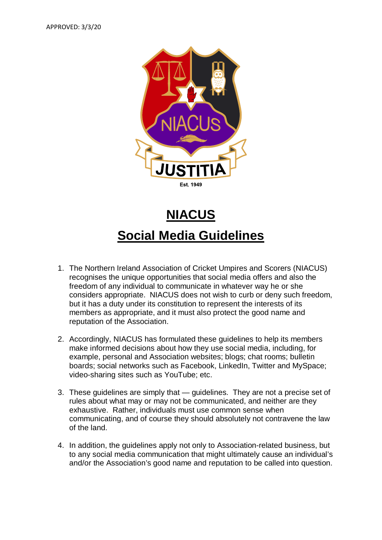

## **NIACUS Social Media Guidelines**

- 1. The Northern Ireland Association of Cricket Umpires and Scorers (NIACUS) recognises the unique opportunities that social media offers and also the freedom of any individual to communicate in whatever way he or she considers appropriate. NIACUS does not wish to curb or deny such freedom, but it has a duty under its constitution to represent the interests of its members as appropriate, and it must also protect the good name and reputation of the Association.
- 2. Accordingly, NIACUS has formulated these guidelines to help its members make informed decisions about how they use social media, including, for example, personal and Association websites; blogs; chat rooms; bulletin boards; social networks such as Facebook, LinkedIn, Twitter and MySpace; video-sharing sites such as YouTube; etc.
- 3. These guidelines are simply that guidelines. They are not a precise set of rules about what may or may not be communicated, and neither are they exhaustive. Rather, individuals must use common sense when communicating, and of course they should absolutely not contravene the law of the land.
- 4. In addition, the guidelines apply not only to Association-related business, but to any social media communication that might ultimately cause an individual's and/or the Association's good name and reputation to be called into question.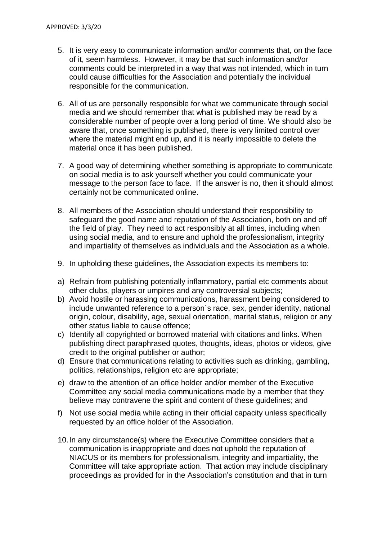- 5. It is very easy to communicate information and/or comments that, on the face of it, seem harmless. However, it may be that such information and/or comments could be interpreted in a way that was not intended, which in turn could cause difficulties for the Association and potentially the individual responsible for the communication.
- 6. All of us are personally responsible for what we communicate through social media and we should remember that what is published may be read by a considerable number of people over a long period of time. We should also be aware that, once something is published, there is very limited control over where the material might end up, and it is nearly impossible to delete the material once it has been published.
- 7. A good way of determining whether something is appropriate to communicate on social media is to ask yourself whether you could communicate your message to the person face to face. If the answer is no, then it should almost certainly not be communicated online.
- 8. All members of the Association should understand their responsibility to safeguard the good name and reputation of the Association, both on and off the field of play. They need to act responsibly at all times, including when using social media, and to ensure and uphold the professionalism, integrity and impartiality of themselves as individuals and the Association as a whole.
- 9. In upholding these guidelines, the Association expects its members to:
- a) Refrain from publishing potentially inflammatory, partial etc comments about other clubs, players or umpires and any controversial subjects;
- b) Avoid hostile or harassing communications, harassment being considered to include unwanted reference to a person`s race, sex, gender identity, national origin, colour, disability, age, sexual orientation, marital status, religion or any other status liable to cause offence;
- c) Identify all copyrighted or borrowed material with citations and links. When publishing direct paraphrased quotes, thoughts, ideas, photos or videos, give credit to the original publisher or author;
- d) Ensure that communications relating to activities such as drinking, gambling, politics, relationships, religion etc are appropriate;
- e) draw to the attention of an office holder and/or member of the Executive Committee any social media communications made by a member that they believe may contravene the spirit and content of these guidelines; and
- f) Not use social media while acting in their official capacity unless specifically requested by an office holder of the Association.
- 10.In any circumstance(s) where the Executive Committee considers that a communication is inappropriate and does not uphold the reputation of NIACUS or its members for professionalism, integrity and impartiality, the Committee will take appropriate action. That action may include disciplinary proceedings as provided for in the Association's constitution and that in turn